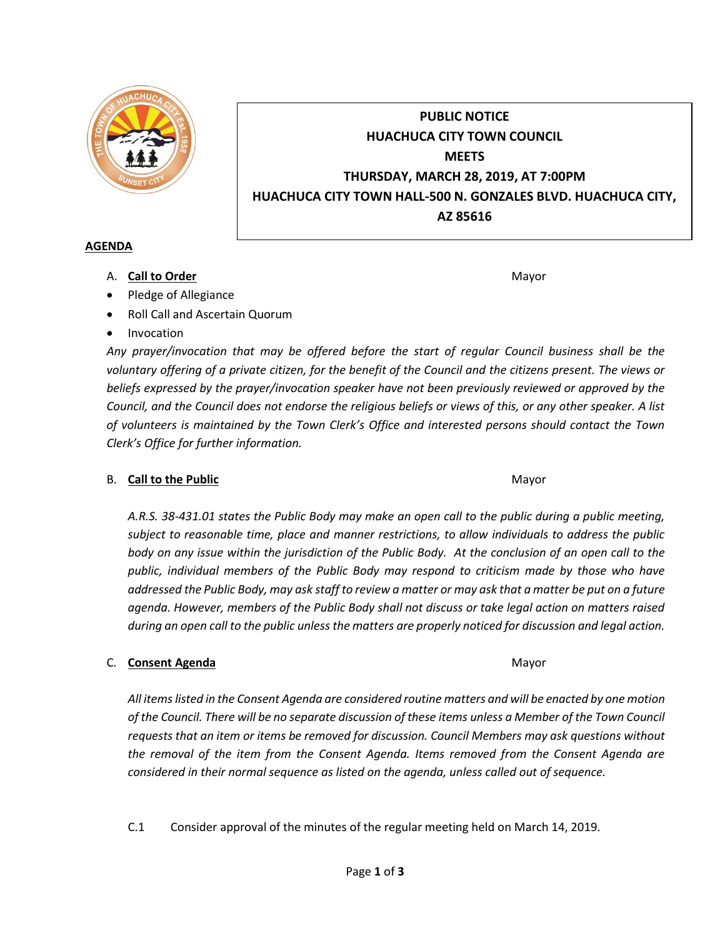

# **PUBLIC NOTICE HUACHUCA CITY TOWN COUNCIL MEETS THURSDAY, MARCH 28, 2019, AT 7:00PM HUACHUCA CITY TOWN HALL-500 N. GONZALES BLVD. HUACHUCA CITY, AZ 85616**

### **AGENDA**

A. **Call to Order** Mayor **Mayor** Mayor **Mayor** Mayor **Mayor** 

- Pledge of Allegiance
- Roll Call and Ascertain Quorum
- Invocation

*Any prayer/invocation that may be offered before the start of regular Council business shall be the voluntary offering of a private citizen, for the benefit of the Council and the citizens present. The views or beliefs expressed by the prayer/invocation speaker have not been previously reviewed or approved by the Council, and the Council does not endorse the religious beliefs or views of this, or any other speaker. A list of volunteers is maintained by the Town Clerk's Office and interested persons should contact the Town Clerk's Office for further information.*

# B. **Call to the Public** Mayor **Mayor** Mayor **Mayor** Mayor

*A.R.S. 38-431.01 states the Public Body may make an open call to the public during a public meeting, subject to reasonable time, place and manner restrictions, to allow individuals to address the public body on any issue within the jurisdiction of the Public Body. At the conclusion of an open call to the public, individual members of the Public Body may respond to criticism made by those who have addressed the Public Body, may ask staff to review a matter or may ask that a matter be put on a future agenda. However, members of the Public Body shall not discuss or take legal action on matters raised during an open call to the public unless the matters are properly noticed for discussion and legal action.*

# C. **Consent Agenda** Mayor **C. Consent Agenda** Mayor **Mayor**

*All items listed in the Consent Agenda are considered routine matters and will be enacted by one motion of the Council. There will be no separate discussion of these items unless a Member of the Town Council requests that an item or items be removed for discussion. Council Members may ask questions without the removal of the item from the Consent Agenda. Items removed from the Consent Agenda are considered in their normal sequence as listed on the agenda, unless called out of sequence.*

C.1 Consider approval of the minutes of the regular meeting held on March 14, 2019.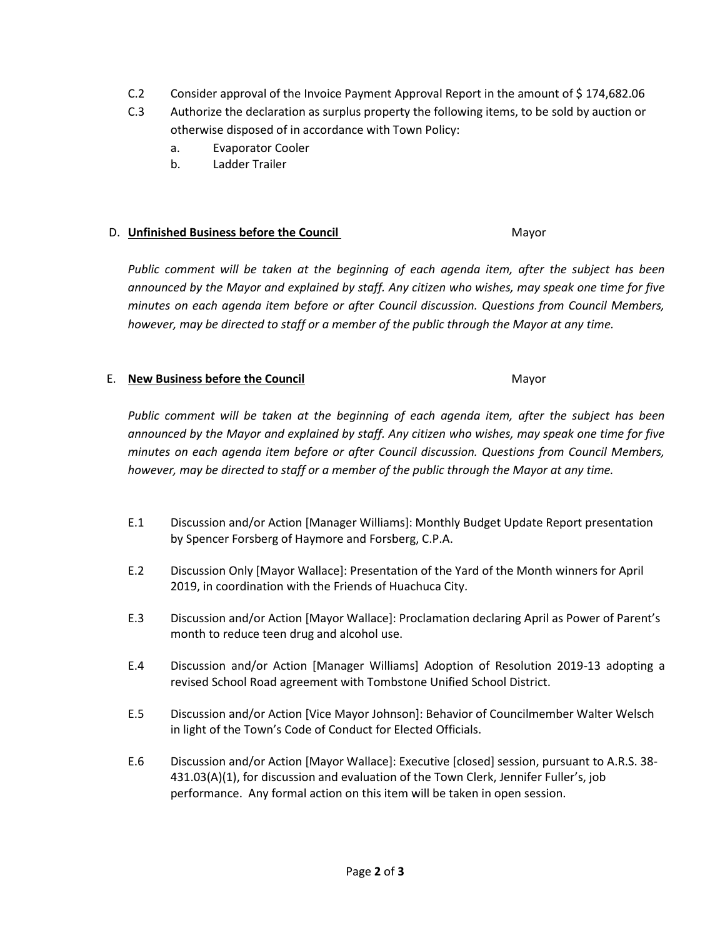- C.2 Consider approval of the Invoice Payment Approval Report in the amount of \$ 174,682.06
- C.3 Authorize the declaration as surplus property the following items, to be sold by auction or otherwise disposed of in accordance with Town Policy:
	- a. Evaporator Cooler
	- b. Ladder Trailer

#### D. **Unfinished Business before the Council** Mayor

*Public comment will be taken at the beginning of each agenda item, after the subject has been announced by the Mayor and explained by staff. Any citizen who wishes, may speak one time for five minutes on each agenda item before or after Council discussion. Questions from Council Members, however, may be directed to staff or a member of the public through the Mayor at any time.*

### E. **New Business before the Council** Mayor

*Public comment will be taken at the beginning of each agenda item, after the subject has been announced by the Mayor and explained by staff. Any citizen who wishes, may speak one time for five minutes on each agenda item before or after Council discussion. Questions from Council Members, however, may be directed to staff or a member of the public through the Mayor at any time.*

- E.1 Discussion and/or Action [Manager Williams]: Monthly Budget Update Report presentation by Spencer Forsberg of Haymore and Forsberg, C.P.A.
- E.2 Discussion Only [Mayor Wallace]: Presentation of the Yard of the Month winners for April 2019, in coordination with the Friends of Huachuca City.
- E.3 Discussion and/or Action [Mayor Wallace]: Proclamation declaring April as Power of Parent's month to reduce teen drug and alcohol use.
- E.4 Discussion and/or Action [Manager Williams] Adoption of Resolution 2019-13 adopting a revised School Road agreement with Tombstone Unified School District.
- E.5 Discussion and/or Action [Vice Mayor Johnson]: Behavior of Councilmember Walter Welsch in light of the Town's Code of Conduct for Elected Officials.
- E.6 Discussion and/or Action [Mayor Wallace]: Executive [closed] session, pursuant to A.R.S. 38- 431.03(A)(1), for discussion and evaluation of the Town Clerk, Jennifer Fuller's, job performance. Any formal action on this item will be taken in open session.